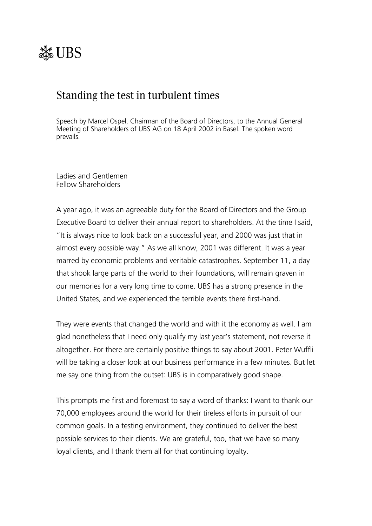

# Standing the test in turbulent times

Speech by Marcel Ospel, Chairman of the Board of Directors, to the Annual General Meeting of Shareholders of UBS AG on 18 April 2002 in Basel. The spoken word prevails.

Ladies and Gentlemen Fellow Shareholders

A year ago, it was an agreeable duty for the Board of Directors and the Group Executive Board to deliver their annual report to shareholders. At the time I said, "It is always nice to look back on a successful year, and 2000 was just that in almost every possible way." As we all know, 2001 was different. It was a year marred by economic problems and veritable catastrophes. September 11, a day that shook large parts of the world to their foundations, will remain graven in our memories for a very long time to come. UBS has a strong presence in the United States, and we experienced the terrible events there first-hand.

They were events that changed the world and with it the economy as well. I am glad nonetheless that I need only qualify my last year's statement, not reverse it altogether. For there are certainly positive things to say about 2001. Peter Wuffli will be taking a closer look at our business performance in a few minutes. But let me say one thing from the outset: UBS is in comparatively good shape.

This prompts me first and foremost to say a word of thanks: I want to thank our 70,000 employees around the world for their tireless efforts in pursuit of our common goals. In a testing environment, they continued to deliver the best possible services to their clients. We are grateful, too, that we have so many loyal clients, and I thank them all for that continuing loyalty.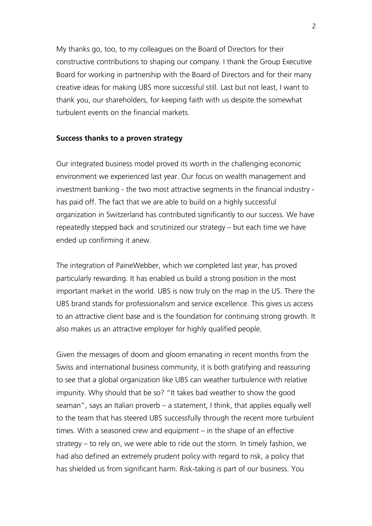My thanks go, too, to my colleagues on the Board of Directors for their constructive contributions to shaping our company. I thank the Group Executive Board for working in partnership with the Board of Directors and for their many creative ideas for making UBS more successful still. Last but not least, I want to thank you, our shareholders, for keeping faith with us despite the somewhat turbulent events on the financial markets.

# **Success thanks to a proven strategy**

Our integrated business model proved its worth in the challenging economic environment we experienced last year. Our focus on wealth management and investment banking - the two most attractive segments in the financial industry has paid off. The fact that we are able to build on a highly successful organization in Switzerland has contributed significantly to our success. We have repeatedly stepped back and scrutinized our strategy  $-$  but each time we have ended up confirming it anew.

The integration of PaineWebber, which we completed last year, has proved particularly rewarding. It has enabled us build a strong position in the most important market in the world. UBS is now truly on the map in the US. There the UBS brand stands for professionalism and service excellence. This gives us access to an attractive client base and is the foundation for continuing strong growth. It also makes us an attractive employer for highly qualified people.

Given the messages of doom and gloom emanating in recent months from the Swiss and international business community, it is both gratifying and reassuring to see that a global organization like UBS can weather turbulence with relative impunity. Why should that be so? "It takes bad weather to show the good seaman", says an Italian proverb  $-$  a statement, I think, that applies equally well to the team that has steered UBS successfully through the recent more turbulent times. With a seasoned crew and equipment  $-$  in the shape of an effective strategy  $-$  to rely on, we were able to ride out the storm. In timely fashion, we had also defined an extremely prudent policy with regard to risk, a policy that has shielded us from significant harm. Risk-taking is part of our business. You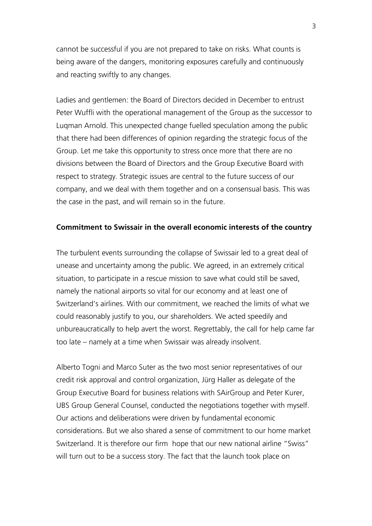cannot be successful if you are not prepared to take on risks. What counts is being aware of the dangers, monitoring exposures carefully and continuously and reacting swiftly to any changes.

Ladies and gentlemen: the Board of Directors decided in December to entrust Peter Wuffli with the operational management of the Group as the successor to Luqman Arnold. This unexpected change fuelled speculation among the public that there had been differences of opinion regarding the strategic focus of the Group. Let me take this opportunity to stress once more that there are no divisions between the Board of Directors and the Group Executive Board with respect to strategy. Strategic issues are central to the future success of our company, and we deal with them together and on a consensual basis. This was the case in the past, and will remain so in the future.

#### **Commitment to Swissair in the overall economic interests of the country**

The turbulent events surrounding the collapse of Swissair led to a great deal of unease and uncertainty among the public. We agreed, in an extremely critical situation, to participate in a rescue mission to save what could still be saved, namely the national airports so vital for our economy and at least one of Switzerland's airlines. With our commitment, we reached the limits of what we could reasonably justify to you, our shareholders. We acted speedily and unbureaucratically to help avert the worst. Regrettably, the call for help came far too late – namely at a time when Swissair was already insolvent.

Alberto Togni and Marco Suter as the two most senior representatives of our credit risk approval and control organization, Jürg Haller as delegate of the Group Executive Board for business relations with SAirGroup and Peter Kurer, UBS Group General Counsel, conducted the negotiations together with myself. Our actions and deliberations were driven by fundamental economic considerations. But we also shared a sense of commitment to our home market Switzerland. It is therefore our firm hope that our new national airline "Swiss" will turn out to be a success story. The fact that the launch took place on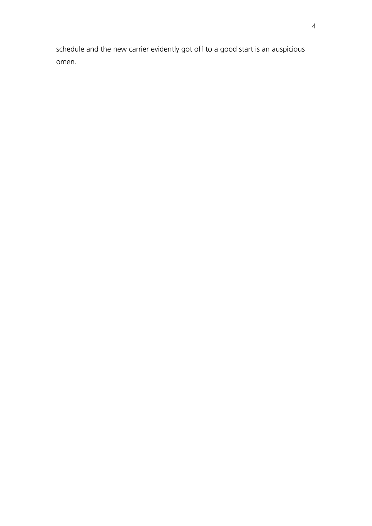schedule and the new carrier evidently got off to a good start is an auspicious omen.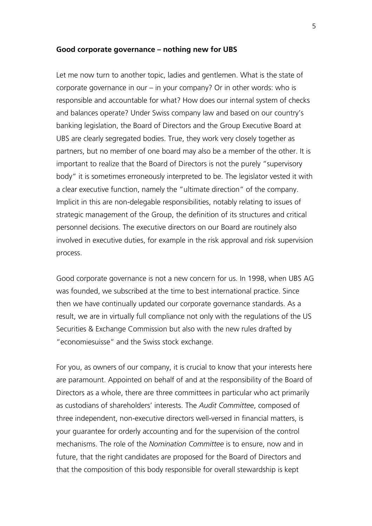#### Good corporate governance – nothing new for UBS

Let me now turn to another topic, ladies and gentlemen. What is the state of corporate governance in our  $-$  in your company? Or in other words: who is responsible and accountable for what? How does our internal system of checks and balances operate? Under Swiss company law and based on our countryís banking legislation, the Board of Directors and the Group Executive Board at UBS are clearly segregated bodies. True, they work very closely together as partners, but no member of one board may also be a member of the other. It is important to realize that the Board of Directors is not the purely "supervisory body" it is sometimes erroneously interpreted to be. The legislator vested it with a clear executive function, namely the "ultimate direction" of the company. Implicit in this are non-delegable responsibilities, notably relating to issues of strategic management of the Group, the definition of its structures and critical personnel decisions. The executive directors on our Board are routinely also involved in executive duties, for example in the risk approval and risk supervision process.

Good corporate governance is not a new concern for us. In 1998, when UBS AG was founded, we subscribed at the time to best international practice. Since then we have continually updated our corporate governance standards. As a result, we are in virtually full compliance not only with the regulations of the US Securities & Exchange Commission but also with the new rules drafted by "economiesuisse" and the Swiss stock exchange.

For you, as owners of our company, it is crucial to know that your interests here are paramount. Appointed on behalf of and at the responsibility of the Board of Directors as a whole, there are three committees in particular who act primarily as custodians of shareholdersí interests. The *Audit Committee*, composed of three independent, non-executive directors well-versed in financial matters, is your guarantee for orderly accounting and for the supervision of the control mechanisms. The role of the *Nomination Committee* is to ensure, now and in future, that the right candidates are proposed for the Board of Directors and that the composition of this body responsible for overall stewardship is kept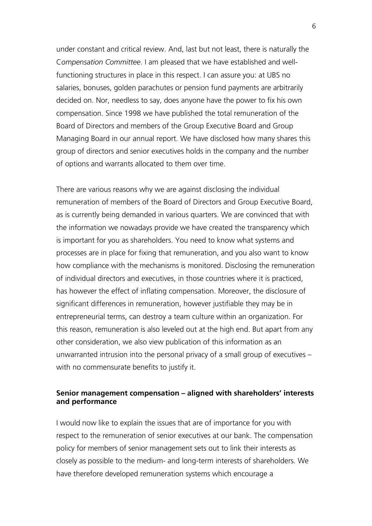under constant and critical review. And, last but not least, there is naturally the C*ompensation Committee*. I am pleased that we have established and wellfunctioning structures in place in this respect. I can assure you: at UBS no salaries, bonuses, golden parachutes or pension fund payments are arbitrarily decided on. Nor, needless to say, does anyone have the power to fix his own compensation. Since 1998 we have published the total remuneration of the Board of Directors and members of the Group Executive Board and Group Managing Board in our annual report. We have disclosed how many shares this group of directors and senior executives holds in the company and the number of options and warrants allocated to them over time.

There are various reasons why we are against disclosing the individual remuneration of members of the Board of Directors and Group Executive Board, as is currently being demanded in various quarters. We are convinced that with the information we nowadays provide we have created the transparency which is important for you as shareholders. You need to know what systems and processes are in place for fixing that remuneration, and you also want to know how compliance with the mechanisms is monitored. Disclosing the remuneration of individual directors and executives, in those countries where it is practiced, has however the effect of inflating compensation. Moreover, the disclosure of significant differences in remuneration, however justifiable they may be in entrepreneurial terms, can destroy a team culture within an organization. For this reason, remuneration is also leveled out at the high end. But apart from any other consideration, we also view publication of this information as an unwarranted intrusion into the personal privacy of a small group of executives  $$ with no commensurate benefits to justify it.

# **Senior management compensation – aligned with shareholders' interests and performance**

I would now like to explain the issues that are of importance for you with respect to the remuneration of senior executives at our bank. The compensation policy for members of senior management sets out to link their interests as closely as possible to the medium- and long-term interests of shareholders. We have therefore developed remuneration systems which encourage a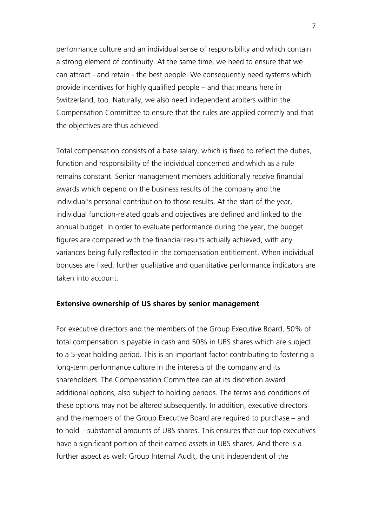performance culture and an individual sense of responsibility and which contain a strong element of continuity. At the same time, we need to ensure that we can attract - and retain - the best people. We consequently need systems which provide incentives for highly qualified people  $-$  and that means here in Switzerland, too. Naturally, we also need independent arbiters within the Compensation Committee to ensure that the rules are applied correctly and that the objectives are thus achieved.

Total compensation consists of a base salary, which is fixed to reflect the duties, function and responsibility of the individual concerned and which as a rule remains constant. Senior management members additionally receive financial awards which depend on the business results of the company and the individual's personal contribution to those results. At the start of the year, individual function-related goals and objectives are defined and linked to the annual budget. In order to evaluate performance during the year, the budget figures are compared with the financial results actually achieved, with any variances being fully reflected in the compensation entitlement. When individual bonuses are fixed, further qualitative and quantitative performance indicators are taken into account.

## **Extensive ownership of US shares by senior management**

For executive directors and the members of the Group Executive Board, 50% of total compensation is payable in cash and 50% in UBS shares which are subject to a 5-year holding period. This is an important factor contributing to fostering a long-term performance culture in the interests of the company and its shareholders. The Compensation Committee can at its discretion award additional options, also subject to holding periods. The terms and conditions of these options may not be altered subsequently. In addition, executive directors and the members of the Group Executive Board are required to purchase  $-$  and to hold – substantial amounts of UBS shares. This ensures that our top executives have a significant portion of their earned assets in UBS shares. And there is a further aspect as well: Group Internal Audit, the unit independent of the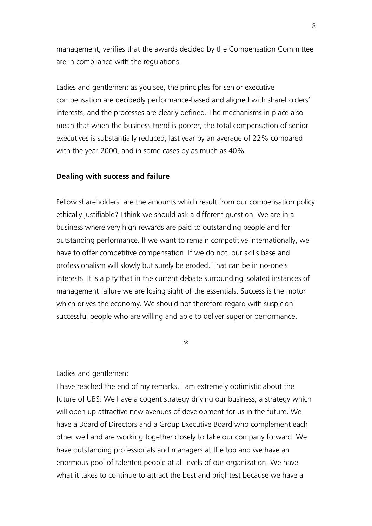management, verifies that the awards decided by the Compensation Committee are in compliance with the regulations.

Ladies and gentlemen: as you see, the principles for senior executive compensation are decidedly performance-based and aligned with shareholders' interests, and the processes are clearly defined. The mechanisms in place also mean that when the business trend is poorer, the total compensation of senior executives is substantially reduced, last year by an average of 22% compared with the year 2000, and in some cases by as much as 40%.

#### **Dealing with success and failure**

Fellow shareholders: are the amounts which result from our compensation policy ethically justifiable? I think we should ask a different question. We are in a business where very high rewards are paid to outstanding people and for outstanding performance. If we want to remain competitive internationally, we have to offer competitive compensation. If we do not, our skills base and professionalism will slowly but surely be eroded. That can be in no-one's interests. It is a pity that in the current debate surrounding isolated instances of management failure we are losing sight of the essentials. Success is the motor which drives the economy. We should not therefore regard with suspicion successful people who are willing and able to deliver superior performance.

\*

### Ladies and gentlemen:

I have reached the end of my remarks. I am extremely optimistic about the future of UBS. We have a cogent strategy driving our business, a strategy which will open up attractive new avenues of development for us in the future. We have a Board of Directors and a Group Executive Board who complement each other well and are working together closely to take our company forward. We have outstanding professionals and managers at the top and we have an enormous pool of talented people at all levels of our organization. We have what it takes to continue to attract the best and brightest because we have a